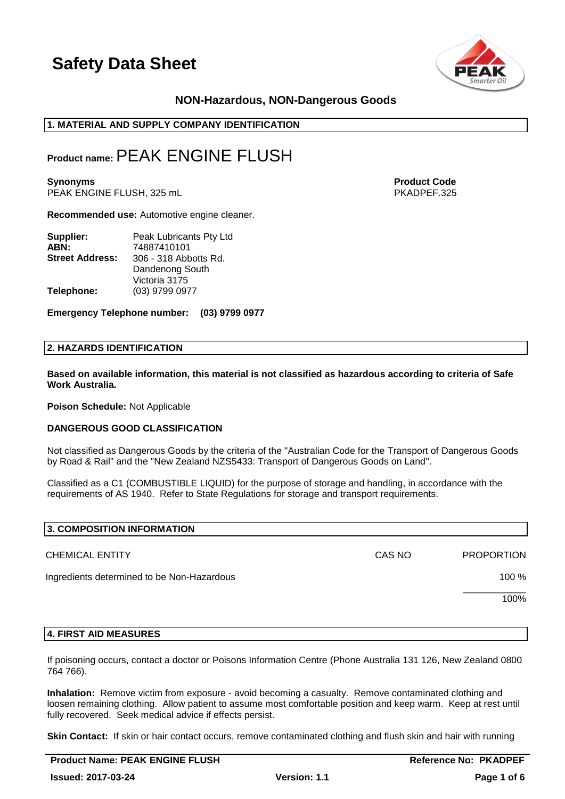

## **NON-Hazardous, NON-Dangerous Goods**

## **1. MATERIAL AND SUPPLY COMPANY IDENTIFICATION**

## **Product name:**PEAK ENGINE FLUSH

**Synonyms Product Code** PEAK ENGINE FLUSH, 325 mL

**Recommended use:** Automotive engine cleaner.

| Supplier:              | Peak Lubricants Pty Ltd |
|------------------------|-------------------------|
| ABN:                   | 74887410101             |
| <b>Street Address:</b> | 306 - 318 Abbotts Rd.   |
|                        | Dandenong South         |
|                        | Victoria 3175           |
| Telephone:             | (03) 9799 0977          |

**Emergency Telephone number: (03) 9799 0977**

### **2. HAZARDS IDENTIFICATION**

**Based on available information, this material is not classified as hazardous according to criteria of Safe Work Australia.**

**Poison Schedule:** Not Applicable

#### **DANGEROUS GOOD CLASSIFICATION**

Not classified as Dangerous Goods by the criteria of the "Australian Code for the Transport of Dangerous Goods by Road & Rail" and the "New Zealand NZS5433: Transport of Dangerous Goods on Land".

Classified as a C1 (COMBUSTIBLE LIQUID) for the purpose of storage and handling, in accordance with the requirements of AS 1940. Refer to State Regulations for storage and transport requirements.

| 3. COMPOSITION INFORMATION                 |        |                   |
|--------------------------------------------|--------|-------------------|
| <b>CHEMICAL ENTITY</b>                     | CAS NO | <b>PROPORTION</b> |
| Ingredients determined to be Non-Hazardous |        | 100 %             |
|                                            |        | 100%              |
|                                            |        |                   |

### **4. FIRST AID MEASURES**

If poisoning occurs, contact a doctor or Poisons Information Centre (Phone Australia 131 126, New Zealand 0800 764 766).

**Inhalation:** Remove victim from exposure - avoid becoming a casualty. Remove contaminated clothing and loosen remaining clothing. Allow patient to assume most comfortable position and keep warm. Keep at rest until fully recovered. Seek medical advice if effects persist.

**Skin Contact:** If skin or hair contact occurs, remove contaminated clothing and flush skin and hair with running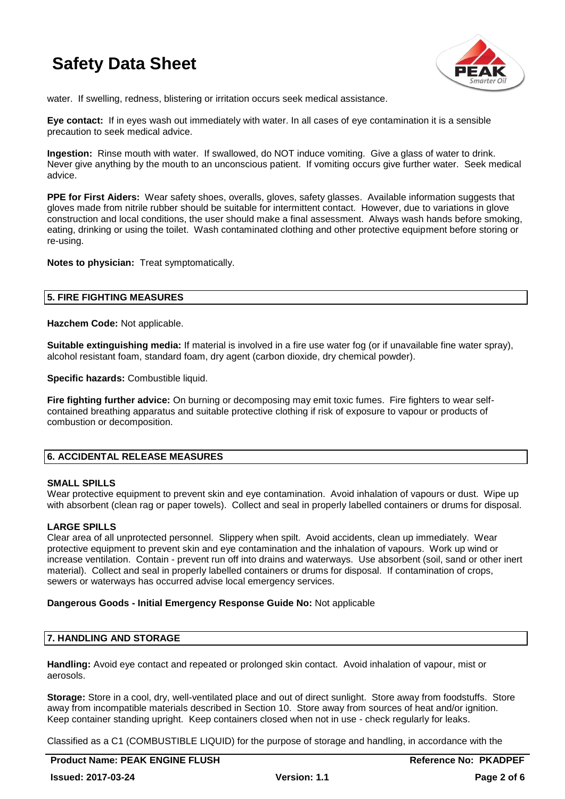

water. If swelling, redness, blistering or irritation occurs seek medical assistance.

**Eye contact:** If in eyes wash out immediately with water. In all cases of eye contamination it is a sensible precaution to seek medical advice.

**Ingestion:** Rinse mouth with water. If swallowed, do NOT induce vomiting. Give a glass of water to drink. Never give anything by the mouth to an unconscious patient. If vomiting occurs give further water. Seek medical advice.

**PPE for First Aiders:** Wear safety shoes, overalls, gloves, safety glasses. Available information suggests that gloves made from nitrile rubber should be suitable for intermittent contact. However, due to variations in glove construction and local conditions, the user should make a final assessment. Always wash hands before smoking, eating, drinking or using the toilet. Wash contaminated clothing and other protective equipment before storing or re-using.

**Notes to physician:** Treat symptomatically.

### **5. FIRE FIGHTING MEASURES**

**Hazchem Code:** Not applicable.

**Suitable extinguishing media:** If material is involved in a fire use water fog (or if unavailable fine water spray), alcohol resistant foam, standard foam, dry agent (carbon dioxide, dry chemical powder).

**Specific hazards: Combustible liquid.** 

**Fire fighting further advice:** On burning or decomposing may emit toxic fumes. Fire fighters to wear selfcontained breathing apparatus and suitable protective clothing if risk of exposure to vapour or products of combustion or decomposition.

## **6. ACCIDENTAL RELEASE MEASURES**

#### **SMALL SPILLS**

Wear protective equipment to prevent skin and eye contamination. Avoid inhalation of vapours or dust. Wipe up with absorbent (clean rag or paper towels). Collect and seal in properly labelled containers or drums for disposal.

## **LARGE SPILLS**

Clear area of all unprotected personnel. Slippery when spilt. Avoid accidents, clean up immediately. Wear protective equipment to prevent skin and eye contamination and the inhalation of vapours. Work up wind or increase ventilation. Contain - prevent run off into drains and waterways. Use absorbent (soil, sand or other inert material). Collect and seal in properly labelled containers or drums for disposal. If contamination of crops, sewers or waterways has occurred advise local emergency services.

#### **Dangerous Goods - Initial Emergency Response Guide No:** Not applicable

## **7. HANDLING AND STORAGE**

**Handling:** Avoid eye contact and repeated or prolonged skin contact. Avoid inhalation of vapour, mist or aerosols.

**Storage:** Store in a cool, dry, well-ventilated place and out of direct sunlight. Store away from foodstuffs. Store away from incompatible materials described in Section 10. Store away from sources of heat and/or ignition. Keep container standing upright. Keep containers closed when not in use - check regularly for leaks.

Classified as a C1 (COMBUSTIBLE LIQUID) for the purpose of storage and handling, in accordance with the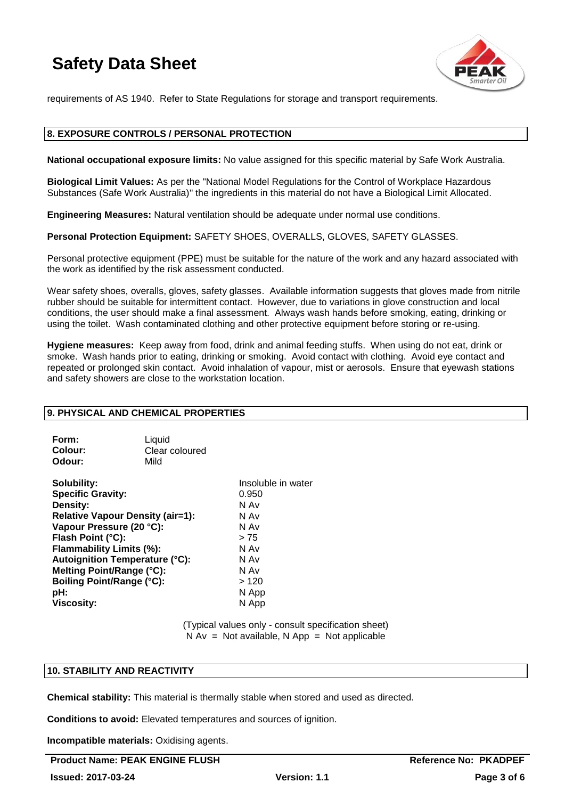

requirements of AS 1940. Refer to State Regulations for storage and transport requirements.

## **8. EXPOSURE CONTROLS / PERSONAL PROTECTION**

**National occupational exposure limits:** No value assigned for this specific material by Safe Work Australia.

**Biological Limit Values:** As per the "National Model Regulations for the Control of Workplace Hazardous Substances (Safe Work Australia)" the ingredients in this material do not have a Biological Limit Allocated.

**Engineering Measures:** Natural ventilation should be adequate under normal use conditions.

**Personal Protection Equipment:** SAFETY SHOES, OVERALLS, GLOVES, SAFETY GLASSES.

Personal protective equipment (PPE) must be suitable for the nature of the work and any hazard associated with the work as identified by the risk assessment conducted.

Wear safety shoes, overalls, gloves, safety glasses. Available information suggests that gloves made from nitrile rubber should be suitable for intermittent contact. However, due to variations in glove construction and local conditions, the user should make a final assessment. Always wash hands before smoking, eating, drinking or using the toilet. Wash contaminated clothing and other protective equipment before storing or re-using.

**Hygiene measures:** Keep away from food, drink and animal feeding stuffs. When using do not eat, drink or smoke. Wash hands prior to eating, drinking or smoking. Avoid contact with clothing. Avoid eye contact and repeated or prolonged skin contact. Avoid inhalation of vapour, mist or aerosols. Ensure that eyewash stations and safety showers are close to the workstation location.

## **9. PHYSICAL AND CHEMICAL PROPERTIES**

| Form:          | Liquid         |
|----------------|----------------|
| <b>Colour:</b> | Clear coloured |
| Odour:         | Mild           |

**Solubility:** Insoluble in water<br> **Specific Gravity:** And The Contract of the Contract of the Contract of the Contract of the Contract of the Contr<br> **Specific Gravity:** And The Contract of the Contract of the Contract of t **Specific Gravity: Density:** N Av **Relative Vapour Density (air=1):** N Av **Vapour Pressure (20 °C):** N Av **Flash Point (°C):**  $> 75$ **Flammability Limits (%):** N Av **Autoignition Temperature (°C):** N Av **Melting Point/Range (°C):** N Av <br> **Boiling Point/Range (°C):** > 120 **Boiling Point/Range (°C):**<br>pH: **Viscosity:** N App

**pH:** N App

(Typical values only - consult specification sheet)  $N Av = Not available, N App = Not applicable$ 

## **10. STABILITY AND REACTIVITY**

**Chemical stability:** This material is thermally stable when stored and used as directed.

**Conditions to avoid:** Elevated temperatures and sources of ignition.

**Incompatible materials:** Oxidising agents.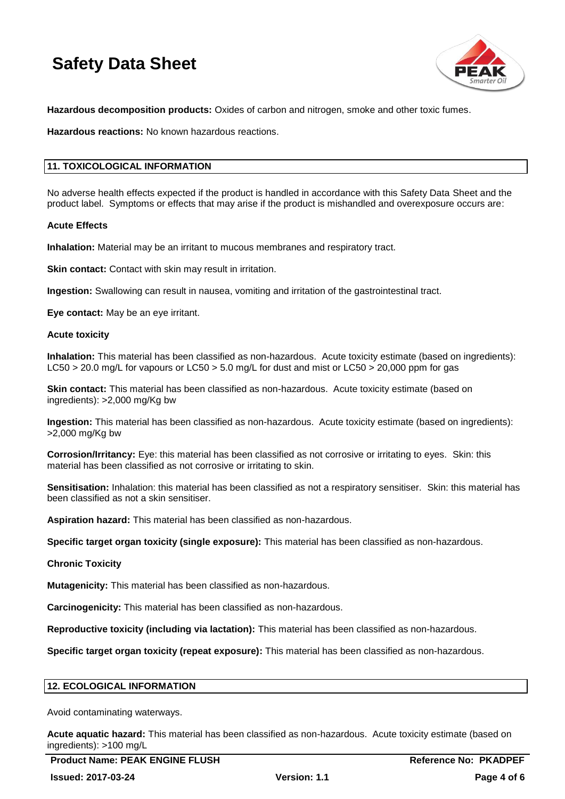

**Hazardous decomposition products:** Oxides of carbon and nitrogen, smoke and other toxic fumes.

**Hazardous reactions:** No known hazardous reactions.

## **11. TOXICOLOGICAL INFORMATION**

No adverse health effects expected if the product is handled in accordance with this Safety Data Sheet and the product label. Symptoms or effects that may arise if the product is mishandled and overexposure occurs are:

### **Acute Effects**

**Inhalation:** Material may be an irritant to mucous membranes and respiratory tract.

**Skin contact:** Contact with skin may result in irritation.

**Ingestion:** Swallowing can result in nausea, vomiting and irritation of the gastrointestinal tract.

**Eye contact:** May be an eye irritant.

#### **Acute toxicity**

**Inhalation:** This material has been classified as non-hazardous. Acute toxicity estimate (based on ingredients): LC50 > 20.0 mg/L for vapours or LC50 > 5.0 mg/L for dust and mist or LC50 > 20,000 ppm for gas

**Skin contact:** This material has been classified as non-hazardous. Acute toxicity estimate (based on ingredients): >2,000 mg/Kg bw

**Ingestion:** This material has been classified as non-hazardous. Acute toxicity estimate (based on ingredients): >2,000 mg/Kg bw

**Corrosion/Irritancy:** Eye: this material has been classified as not corrosive or irritating to eyes. Skin: this material has been classified as not corrosive or irritating to skin.

**Sensitisation:** Inhalation: this material has been classified as not a respiratory sensitiser. Skin: this material has been classified as not a skin sensitiser.

**Aspiration hazard:** This material has been classified as non-hazardous.

**Specific target organ toxicity (single exposure):** This material has been classified as non-hazardous.

#### **Chronic Toxicity**

**Mutagenicity:** This material has been classified as non-hazardous.

**Carcinogenicity:** This material has been classified as non-hazardous.

**Reproductive toxicity (including via lactation):** This material has been classified as non-hazardous.

**Specific target organ toxicity (repeat exposure):** This material has been classified as non-hazardous.

## **12. ECOLOGICAL INFORMATION**

Avoid contaminating waterways.

**Acute aquatic hazard:** This material has been classified as non-hazardous. Acute toxicity estimate (based on ingredients): >100 mg/L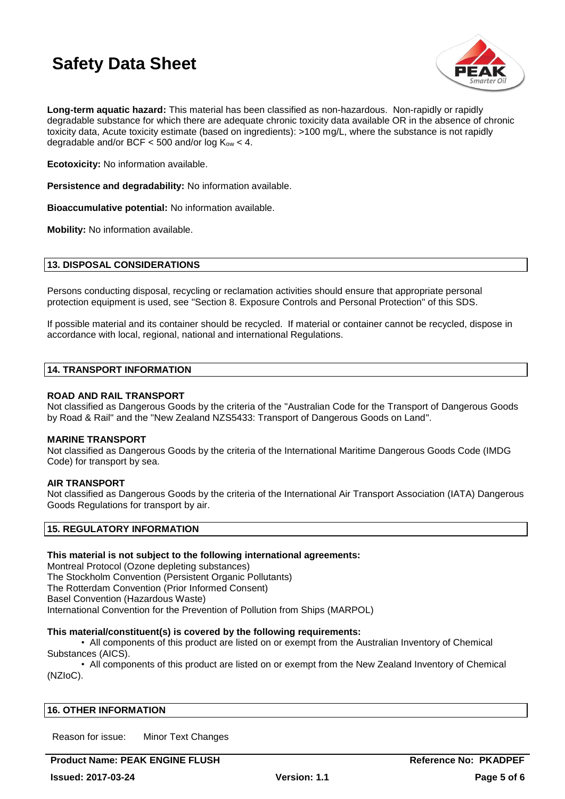

**Long-term aquatic hazard:** This material has been classified as non-hazardous. Non-rapidly or rapidly degradable substance for which there are adequate chronic toxicity data available OR in the absence of chronic toxicity data, Acute toxicity estimate (based on ingredients): >100 mg/L, where the substance is not rapidly degradable and/or BCF  $<$  500 and/or log K<sub>ow</sub>  $<$  4.

**Ecotoxicity:** No information available.

**Persistence and degradability:** No information available.

**Bioaccumulative potential:** No information available.

**Mobility:** No information available.

### **13. DISPOSAL CONSIDERATIONS**

Persons conducting disposal, recycling or reclamation activities should ensure that appropriate personal protection equipment is used, see "Section 8. Exposure Controls and Personal Protection" of this SDS.

If possible material and its container should be recycled. If material or container cannot be recycled, dispose in accordance with local, regional, national and international Regulations.

#### **14. TRANSPORT INFORMATION**

### **ROAD AND RAIL TRANSPORT**

Not classified as Dangerous Goods by the criteria of the "Australian Code for the Transport of Dangerous Goods by Road & Rail" and the "New Zealand NZS5433: Transport of Dangerous Goods on Land".

#### **MARINE TRANSPORT**

Not classified as Dangerous Goods by the criteria of the International Maritime Dangerous Goods Code (IMDG Code) for transport by sea.

## **AIR TRANSPORT**

Not classified as Dangerous Goods by the criteria of the International Air Transport Association (IATA) Dangerous Goods Regulations for transport by air.

## **15. REGULATORY INFORMATION**

#### **This material is not subject to the following international agreements:**

Montreal Protocol (Ozone depleting substances) The Stockholm Convention (Persistent Organic Pollutants) The Rotterdam Convention (Prior Informed Consent) Basel Convention (Hazardous Waste) International Convention for the Prevention of Pollution from Ships (MARPOL)

#### **This material/constituent(s) is covered by the following requirements:**

• All components of this product are listed on or exempt from the Australian Inventory of Chemical Substances (AICS).

• All components of this product are listed on or exempt from the New Zealand Inventory of Chemical (NZIoC).

#### **16. OTHER INFORMATION**

Reason for issue: Minor Text Changes